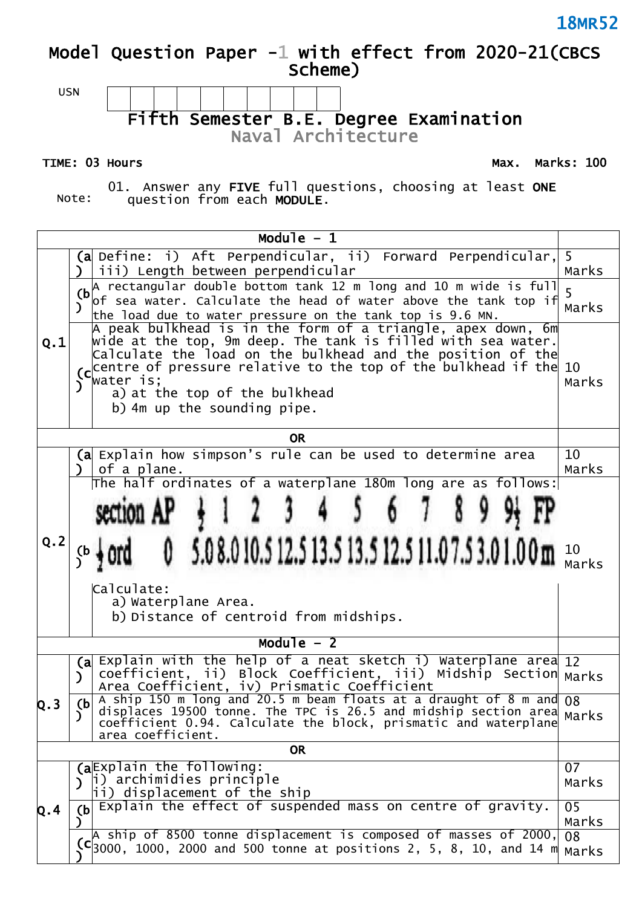### **Model Question Paper -1 with effect from 2020-21(CBCS Scheme)**



TIME: 03 Hours **Max. Marks: 100** 

Note: 01. Answer any **FIVE** full questions, choosing at least **ONE** question from each **MODULE**.

| Module $-1$ |                                                                                                                                                                                                                                                                                                                                                      |             |  |  |
|-------------|------------------------------------------------------------------------------------------------------------------------------------------------------------------------------------------------------------------------------------------------------------------------------------------------------------------------------------------------------|-------------|--|--|
|             | $(a)$ Define: i) Aft Perpendicular, ii) Forward Perpendicular, 5<br>iii) Length between perpendicular                                                                                                                                                                                                                                                | Marks       |  |  |
|             | $(b)$ rectangular double bottom tank 12 m long and 10 m wide is full<br>of sea water. Calculate the head of water above the tank top if<br>the load due to water pressure on the tank top is $9.6$ MN.                                                                                                                                               | 5<br>Marks  |  |  |
| Q.1         | A peak bulkhead is in the form of a triangle, apex down, 6m<br>wide at the top, 9m deep. The tank is filled with sea water.<br>$\vert$ Calculate the load on the bulkhead and the position of the<br>centre of pressure relative to the top of the bulkhead if the $10$<br>water is;<br>a) at the top of the bulkhead<br>b) 4m up the sounding pipe. |             |  |  |
|             | <b>OR</b>                                                                                                                                                                                                                                                                                                                                            |             |  |  |
|             | (a Explain how simpson's rule can be used to determine area<br>of a plane.<br><sup>)</sup>                                                                                                                                                                                                                                                           | 10<br>Marks |  |  |
| Q.2         | The half ordinates of a waterplane $180$ m long are as follows:<br>$3\quad 4$<br>section AP<br>6 7<br>5.08.010.512.513.513.512.511.07.53.01.00m <sup>10</sup> Marks<br>(b<br> Calculate:<br>a) Waterplane Area.<br>b) Distance of centroid from midships.                                                                                            |             |  |  |
|             | Module $-2$                                                                                                                                                                                                                                                                                                                                          |             |  |  |
|             | (a Explain with the help of a neat sketch i) Waterplane area 12<br>coefficient, ii) Block Coefficient, iii) Midship Section Marks<br>$\mathcal{L}$<br>Area Coefficient, iv) Prismatic Coefficient                                                                                                                                                    |             |  |  |
| Q.3         | A ship 150 m long and 20.5 m beam floats at a draught of 8 m and 08<br>(b)<br>displaces 19500 tonne. The TPC is 26.5 and midship section area<br>coefficient 0.94. Calculate the block, prismatic and waterplane<br>area coefficient.                                                                                                                | Marks       |  |  |
| <b>OR</b>   |                                                                                                                                                                                                                                                                                                                                                      |             |  |  |
|             | (aExplain the following:<br>i) archimidies principle<br>$\mathcal{L}$<br>$\left  i\right\rangle$ displacement of the ship                                                                                                                                                                                                                            | 07<br>Marks |  |  |
| Q.4         | $(b)$ Explain the effect of suspended mass on centre of gravity.                                                                                                                                                                                                                                                                                     | 05<br>Marks |  |  |
|             | A ship of 8500 tonne displacement is composed of masses of 2000,<br>$\mathsf{C}$ 3000, 1000, 2000 and 500 tonne at positions 2, 5, 8, 10, and 14 m                                                                                                                                                                                                   | 08<br>Marks |  |  |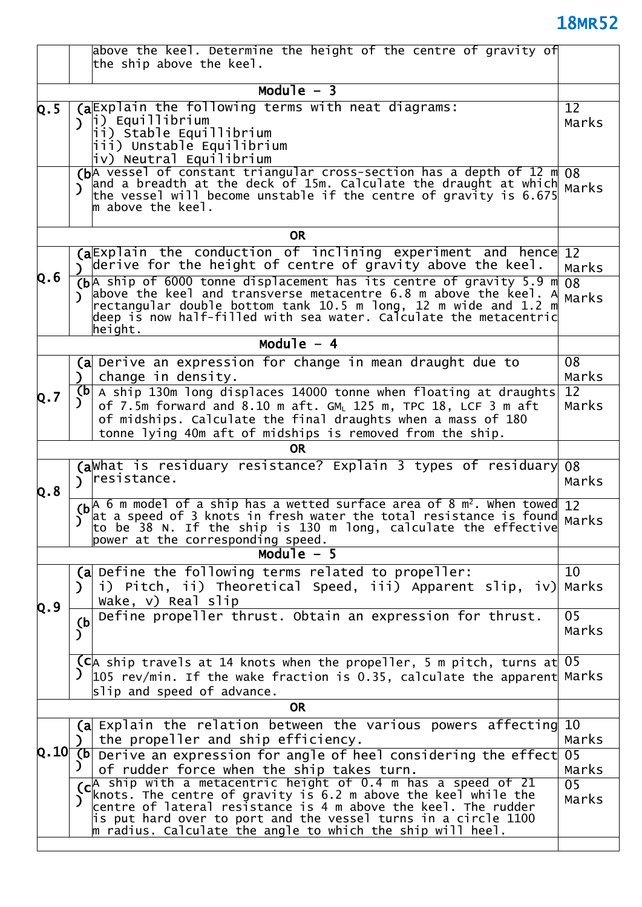| Module $-3$<br>(aExplain the following terms with neat diagrams:<br>Q.5<br>וֹן (p) Equillibrium<br>ii) Stable Equillibrium<br>iii) Unstable Equilibrium<br>iv) Neutral Equilibrium<br>(bA vessel of constant triangular cross-section has a depth of 12 $m$ 08<br>and a breadth at the deck of 15m. Calculate the draught at which Marks<br>$\lambda$<br>the vessel will become unstable if the centre of gravity is 6.675<br>$\parallel$ above the keel.<br><b>OR</b><br>(aExplain the conduction of inclining experiment and hence 12<br>$\mathcal{L}$ derive for the height of centre of gravity above the keel.<br>Q.6<br>$(b A)$ ship of 6000 tonne displacement has its centre of gravity 5.9 m<br>above the keel and transverse metacentre 6.8 m above the keel. A<br>$\mathcal{L}$<br>$\mid$ rectangular double bottom tank 10.5 m long, 12 m wide and 1.2 m $\mid$<br>deep is now half-filled with sea water. Calculate the metacentric $\,$<br>height.<br>Module $-4$<br>(a Derive an expression for change in mean draught due to<br>change in density.<br>$\mathcal{L}$<br>$(b $ A ship 130m long displaces 14000 tonne when floating at draughts<br>Q.7<br>of 7.5m forward and 8.10 m aft. GM, 125 m, TPC 18, LCF 3 m aft<br>of midships. Calculate the final draughts when a mass of 180<br>tonne lying 40m aft of midships is removed from the ship.<br><b>OR</b><br>(aWhat is residuary resistance? Explain 3 types of residuary<br>) resistance. |             |  |  |
|-------------------------------------------------------------------------------------------------------------------------------------------------------------------------------------------------------------------------------------------------------------------------------------------------------------------------------------------------------------------------------------------------------------------------------------------------------------------------------------------------------------------------------------------------------------------------------------------------------------------------------------------------------------------------------------------------------------------------------------------------------------------------------------------------------------------------------------------------------------------------------------------------------------------------------------------------------------------------------------------------------------------------------------------------------------------------------------------------------------------------------------------------------------------------------------------------------------------------------------------------------------------------------------------------------------------------------------------------------------------------------------------------------------------------------------------------------------------|-------------|--|--|
|                                                                                                                                                                                                                                                                                                                                                                                                                                                                                                                                                                                                                                                                                                                                                                                                                                                                                                                                                                                                                                                                                                                                                                                                                                                                                                                                                                                                                                                                   |             |  |  |
|                                                                                                                                                                                                                                                                                                                                                                                                                                                                                                                                                                                                                                                                                                                                                                                                                                                                                                                                                                                                                                                                                                                                                                                                                                                                                                                                                                                                                                                                   |             |  |  |
|                                                                                                                                                                                                                                                                                                                                                                                                                                                                                                                                                                                                                                                                                                                                                                                                                                                                                                                                                                                                                                                                                                                                                                                                                                                                                                                                                                                                                                                                   | 12<br>Marks |  |  |
|                                                                                                                                                                                                                                                                                                                                                                                                                                                                                                                                                                                                                                                                                                                                                                                                                                                                                                                                                                                                                                                                                                                                                                                                                                                                                                                                                                                                                                                                   |             |  |  |
|                                                                                                                                                                                                                                                                                                                                                                                                                                                                                                                                                                                                                                                                                                                                                                                                                                                                                                                                                                                                                                                                                                                                                                                                                                                                                                                                                                                                                                                                   |             |  |  |
|                                                                                                                                                                                                                                                                                                                                                                                                                                                                                                                                                                                                                                                                                                                                                                                                                                                                                                                                                                                                                                                                                                                                                                                                                                                                                                                                                                                                                                                                   | Marks       |  |  |
|                                                                                                                                                                                                                                                                                                                                                                                                                                                                                                                                                                                                                                                                                                                                                                                                                                                                                                                                                                                                                                                                                                                                                                                                                                                                                                                                                                                                                                                                   | 08<br>Marks |  |  |
|                                                                                                                                                                                                                                                                                                                                                                                                                                                                                                                                                                                                                                                                                                                                                                                                                                                                                                                                                                                                                                                                                                                                                                                                                                                                                                                                                                                                                                                                   |             |  |  |
|                                                                                                                                                                                                                                                                                                                                                                                                                                                                                                                                                                                                                                                                                                                                                                                                                                                                                                                                                                                                                                                                                                                                                                                                                                                                                                                                                                                                                                                                   | 08<br>Marks |  |  |
|                                                                                                                                                                                                                                                                                                                                                                                                                                                                                                                                                                                                                                                                                                                                                                                                                                                                                                                                                                                                                                                                                                                                                                                                                                                                                                                                                                                                                                                                   | 12<br>Marks |  |  |
|                                                                                                                                                                                                                                                                                                                                                                                                                                                                                                                                                                                                                                                                                                                                                                                                                                                                                                                                                                                                                                                                                                                                                                                                                                                                                                                                                                                                                                                                   |             |  |  |
| Q.8                                                                                                                                                                                                                                                                                                                                                                                                                                                                                                                                                                                                                                                                                                                                                                                                                                                                                                                                                                                                                                                                                                                                                                                                                                                                                                                                                                                                                                                               | 08<br>Marks |  |  |
| $(b A 6 m $ model of a ship has a wetted surface area of 8 $m^2$ . When towed 12<br>at a speed of 3 knots in fresh water the total resistance is found Marks<br>to be 38 N. If the ship is 130 m long, calculate the effective<br>power at the corresponding speed.<br>Module $-5$                                                                                                                                                                                                                                                                                                                                                                                                                                                                                                                                                                                                                                                                                                                                                                                                                                                                                                                                                                                                                                                                                                                                                                                |             |  |  |
| $(a)$ Define the following terms related to propeller:                                                                                                                                                                                                                                                                                                                                                                                                                                                                                                                                                                                                                                                                                                                                                                                                                                                                                                                                                                                                                                                                                                                                                                                                                                                                                                                                                                                                            | 10          |  |  |
| i) Pitch, ii) Theoretical Speed, iii) Apparent slip, iv) Marks<br>$\mathcal{L}$<br>Wake, $v)$ Real slip                                                                                                                                                                                                                                                                                                                                                                                                                                                                                                                                                                                                                                                                                                                                                                                                                                                                                                                                                                                                                                                                                                                                                                                                                                                                                                                                                           |             |  |  |
| Q.9<br>Define propeller thrust. Obtain an expression for thrust.<br>(b)<br>)                                                                                                                                                                                                                                                                                                                                                                                                                                                                                                                                                                                                                                                                                                                                                                                                                                                                                                                                                                                                                                                                                                                                                                                                                                                                                                                                                                                      | 05<br>Marks |  |  |
| $\overline{C}$ ck ship travels at 14 knots when the propeller, 5 m pitch, turns at 05<br>$\mathcal{Y}$<br>105 $rev/min$ . If the wake fraction is 0.35, calculate the apparent Marks<br>slip and speed of advance.                                                                                                                                                                                                                                                                                                                                                                                                                                                                                                                                                                                                                                                                                                                                                                                                                                                                                                                                                                                                                                                                                                                                                                                                                                                |             |  |  |
| <b>OR</b>                                                                                                                                                                                                                                                                                                                                                                                                                                                                                                                                                                                                                                                                                                                                                                                                                                                                                                                                                                                                                                                                                                                                                                                                                                                                                                                                                                                                                                                         |             |  |  |
| (a Explain the relation between the various powers affecting 10<br>the propeller and ship efficiency.                                                                                                                                                                                                                                                                                                                                                                                                                                                                                                                                                                                                                                                                                                                                                                                                                                                                                                                                                                                                                                                                                                                                                                                                                                                                                                                                                             | Marks       |  |  |
| lQ.10∣<br>$(b)$ Derive an expression for angle of heel considering the effect<br>of rudder force when the ship takes turn.                                                                                                                                                                                                                                                                                                                                                                                                                                                                                                                                                                                                                                                                                                                                                                                                                                                                                                                                                                                                                                                                                                                                                                                                                                                                                                                                        | 05<br>Marks |  |  |
| (c <sup>A</sup> ship with a metacentric height of 0.4 m has a speed of 21<br>knots. The centre of gravity is 6.2 m above the keel while the<br>$\mathcal{L}$<br>centre of lateral resistance is 4 m above the keel. The rudder<br>is put hard over to port and the vessel turns in a circle 1100<br>$\parallel$ m radius. Calculate the angle to which the ship will heel.                                                                                                                                                                                                                                                                                                                                                                                                                                                                                                                                                                                                                                                                                                                                                                                                                                                                                                                                                                                                                                                                                        | 05<br>Marks |  |  |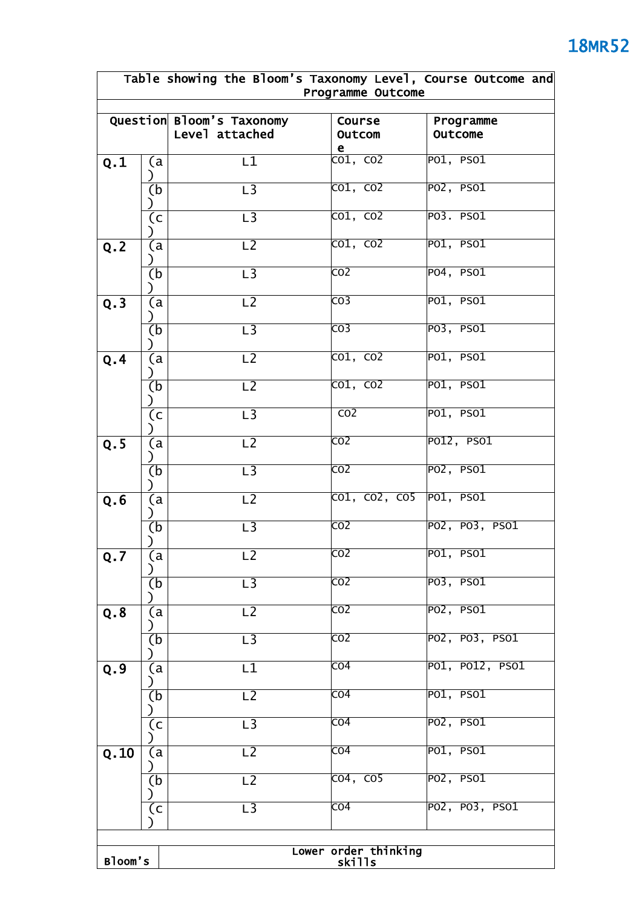|                                           | Table showing the Bloom's Taxonomy Level, Course Outcome and<br>Programme Outcome |                                             |                                |                                    |  |
|-------------------------------------------|-----------------------------------------------------------------------------------|---------------------------------------------|--------------------------------|------------------------------------|--|
|                                           |                                                                                   | Question Bloom's Taxonomy<br>Level attached | Course<br>Outcom<br>e.         | Programme<br>Outcome               |  |
| Q.1                                       | (a<br>$\lambda$                                                                   | L1                                          | $\overline{CO1, CO2}$          | P01, PSO1                          |  |
|                                           | (b                                                                                | $\overline{L}$                              | $\overline{CO1, CO2}$          | PO2, PS01                          |  |
|                                           | (c                                                                                | L <sub>3</sub>                              | $\overline{CO1, CO2}$          | $P$ 03. PSO $1$                    |  |
| Q.2                                       | (a                                                                                | L <sub>2</sub>                              | $\overline{CO1, CO2}$          | P01, PSO1                          |  |
|                                           | (b                                                                                | $\overline{L}$                              | $\overline{CO2}$               | P04, PSO1                          |  |
| Q.3                                       | (a                                                                                | L <sub>2</sub>                              | $\overline{CO3}$               | P01, PSO1                          |  |
|                                           | (b                                                                                | $\overline{L}$ 3                            | $\overline{CO3}$               | P <sub>03</sub> , PS01             |  |
| Q.4                                       | (a                                                                                | $\overline{L2}$                             | $\overline{{\text{co1, CO2}}}$ | P01, PS01                          |  |
|                                           | (b                                                                                | $\overline{L2}$                             | $\overline{CO1, CO2}$          | PO1, PS01                          |  |
|                                           | (c                                                                                | $\overline{L}$ 3                            | CO <sub>2</sub>                | P01, PSO1                          |  |
| Q.5                                       | (a                                                                                | $\overline{L2}$                             | $\overline{CO2}$               | P012, PS01                         |  |
|                                           | (b                                                                                | $\overline{L}$ 3                            | $\overline{CO2}$               | PO2, PS01                          |  |
| Q.6                                       | (a                                                                                | L <sub>2</sub>                              | CO1, CO2, CO5 PO1, PSO1        |                                    |  |
|                                           | (b                                                                                | $\overline{L}$ 3                            | $\overline{CO2}$               | PO2, PO3, PSO1                     |  |
| Q.7                                       | (a                                                                                | L <sub>2</sub>                              | CO <sub>2</sub>                | PO1, PSO1                          |  |
|                                           | (b                                                                                | $\overline{\mathsf{L3}}$                    | $\overline{CO2}$               | P <sub>03</sub> , PS01             |  |
| Q.8                                       | (a                                                                                | L2                                          | $\overline{CO2}$               | P <sub>02</sub> , PS <sub>01</sub> |  |
|                                           | (b                                                                                | L <sub>3</sub>                              | CO <sub>2</sub>                | PO2, PO3, PSO1                     |  |
| Q.9                                       | (a                                                                                | L1                                          | $\overline{CO4}$               | PO1, PO12, PSO1                    |  |
|                                           | (b                                                                                | L <sub>2</sub>                              | $\overline{CO4}$               | P01, PSO1                          |  |
|                                           | (c                                                                                | L <sub>3</sub>                              | CO <sub>4</sub>                | PO2, PSO1                          |  |
| Q.10                                      | (a                                                                                | L <sub>2</sub>                              | $\overline{CO4}$               | P01, PSO1                          |  |
|                                           | (b                                                                                | L <sub>2</sub>                              | $\overline{CO4, CO5}$          | PO2, PS01                          |  |
|                                           | (c                                                                                | L <sub>3</sub>                              | $\overline{CO4}$               | PO2, PO3, PSO1                     |  |
|                                           |                                                                                   |                                             |                                |                                    |  |
| Lower order thinking<br>skills<br>Bloom's |                                                                                   |                                             |                                |                                    |  |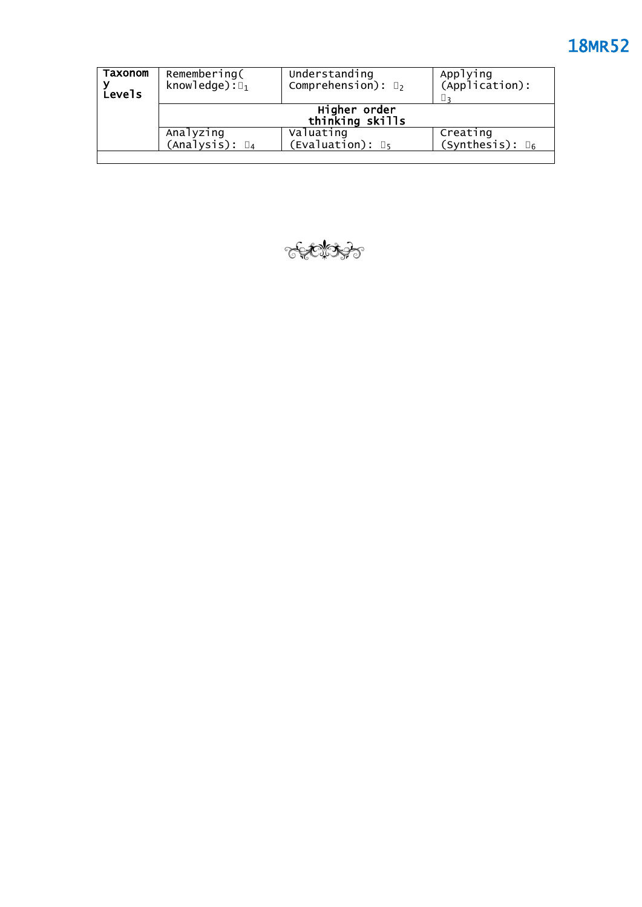| Taxonom<br><b>Levels</b> | Remembering(<br>knowledge): $\square_1$           | Understanding<br>Comprehension): $\square_2$ | Applying<br>(Application):<br>∐२     |
|--------------------------|---------------------------------------------------|----------------------------------------------|--------------------------------------|
|                          | Higher order<br>thinking skills                   |                                              |                                      |
|                          | Analyzing<br>$(\text{Analysis})$ : $\mathbb{I}_4$ | Valuating<br>(Evaluation): $\mathbb{I}_5$    | Creating<br>(Synthesis): $\square_6$ |
|                          |                                                   |                                              |                                      |

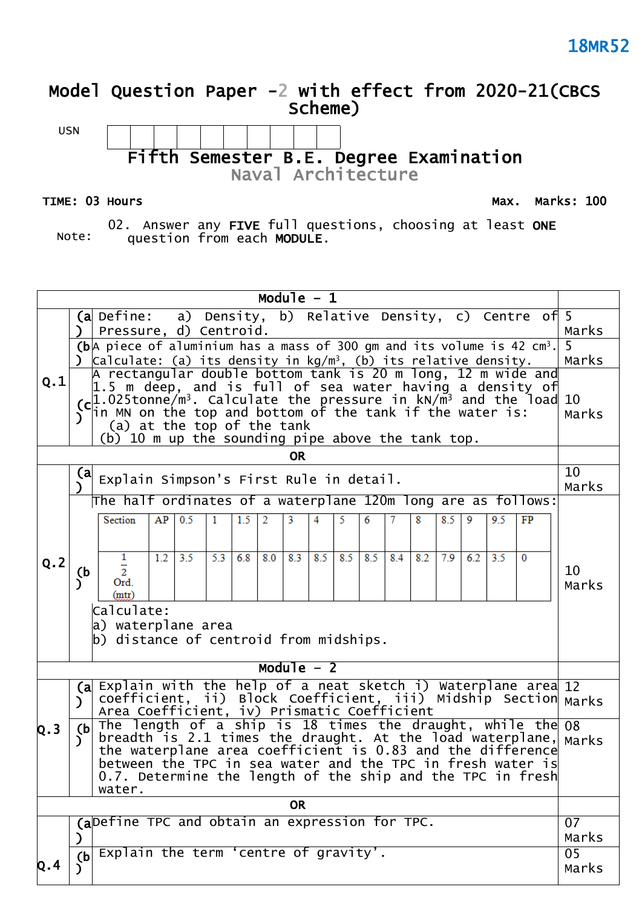### **Model Question Paper -2 with effect from 2020-21(CBCS Scheme)**

USN **Fifth Semester B.E. Degree Examination Naval Architecture** 

TIME: 03 Hours **Max. Marks: 100** 

Note:

02. Answer any **FIVE** full questions, choosing at least **ONE** question from each **MODULE**.

**Module – 1 (a** Define:  $\,$  a) Density, b) Relative Density, c) Centre of $\,$  5  $\,$ **)** Pressure, d) Centroid. Marks **(b** A piece of aluminium has a mass of 300 gm and its volume is 42 cm<sup>3</sup>. 5 **)** Calculate: (a) its density in kg/m<sup>3</sup>, (b) its relative density. Marks A rectangular double bottom tank is 20 m long, 12 m wide and **Q.1** 1.5 m deep, and is full of sea water having a density of 1.025tonne/m $^3$ . Calculate the pressure in kN/m $^3$  and the load 10 **(c** in MN on the top and bottom of the tank if the water is: Marks **)** (a) at the top of the tank (b) 10 m up the sounding pipe above the tank top. **OR** Explain Simpson's First Rule in detail.  $\begin{bmatrix} 10 \\ 10 \end{bmatrix}$ **(a** Marks **)** The half ordinates of a waterplane 120m long are as follows:  $95$  $\overline{FP}$ Section  $AP$  0.5  $\overline{1}$  $1.5$  $\overline{2}$ 3 4 6 8  $8.5$  $\overline{9}$ 5 1  $1.2$  3.5 5.3 6.8 8.0 8.3 8.5 8.5 8.5 8.4 8.2 7.9 6.2  $3.5$  $\Omega$  $\begin{bmatrix} 0.2 \\ b \end{bmatrix}$ 10  $\overline{2}$ **)** Ord. Marks  $(mtr)$ Calculate: a) waterplane area b) distance of centroid from midships. **Module – 2 (a** Explain with the help of a neat sketch i) Waterplane area 12 coefficient, ii) Block Coefficient, iii) Midship Section **)** Marks Area Coefficient, iv) Prismatic Coefficient The length of a ship is 18 times the draught, while the 08 **Q.3 (b** breadth is 2.1 times the draught. At the load waterplane, Marks **)** the waterplane area coefficient is 0.83 and the difference between the TPC in sea water and the TPC in fresh water is 0.7. Determine the length of the ship and the TPC in fresh water. **OR (a** Define TPC and obtain an expression for TPC. 07 **)** Marks  $\overline{(\text{b})}$  Explain the term 'centre of gravity'. **Q.4 (b )** Marks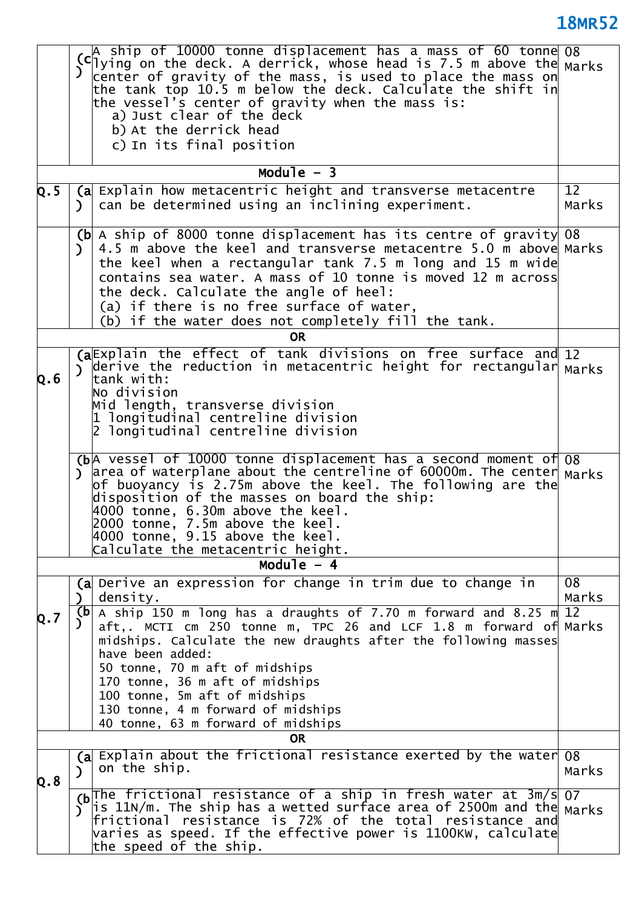|                | $\vert$ A ship of 10000 tonne displacement has a mass of 60 tonne $\vert$ 08<br>(c) surp or 10000 come displacement may a mass of the Marks<br>) center of gravity of the mass, is used to place the mass on<br>the tank top 10.5 m below the deck. Calculate the shift in<br>the vessel's center of gravity when the mass is:<br>a) Just clear of the deck<br>b) At the derrick head<br>c) In its final position                                                |             |
|----------------|------------------------------------------------------------------------------------------------------------------------------------------------------------------------------------------------------------------------------------------------------------------------------------------------------------------------------------------------------------------------------------------------------------------------------------------------------------------|-------------|
|                | Module $-3$                                                                                                                                                                                                                                                                                                                                                                                                                                                      |             |
| $\mathsf{Q.S}$ | (a Explain how metacentric height and transverse metacentre<br>can be determined using an inclining experiment.<br>$\mathcal{L}$                                                                                                                                                                                                                                                                                                                                 | 12<br>Marks |
|                | A ship of 8000 tonne displacement has its centre of gravity 08<br>(b <sub>l</sub> )<br>4.5 m above the keel and transverse metacentre 5.0 m above Marks<br>$\mathcal{L}$<br>the keel when a rectangular tank 7.5 m long and 15 m wide<br>contains sea water. A mass of 10 tonne is moved 12 m across<br>the deck. Calculate the angle of heel:<br>(a) if there is no free surface of water,<br>(b) if the water does not completely fill the tank.               |             |
|                | <b>OR</b>                                                                                                                                                                                                                                                                                                                                                                                                                                                        |             |
| Q.6            | (aExplain the effect of tank divisions on free surface and 12<br>$ $ derive the reduction in metacentric height for rectangular $ $ Marks<br>$\mathcal{L}$<br>tank with:<br>No division<br>Mid length, transverse division<br>1 longitudinal centreline division<br>2 longitudinal centreline division                                                                                                                                                           |             |
|                | (bA vessel of 10000 tonne displacement has a second moment of 08<br>area of waterplane about the centreline of 60000m. The center $_{\text{Marks}}$<br>$\mathcal{L}$<br>of buoyancy is 2.75m above the keel. The following are the<br>disposition of the masses on board the ship:<br>$4000$ tonne, 6.30m above the keel.<br>2000 tonne, 7.5m above the keel.<br>$ 4000 \t{tonne}, 9.15 \t{above}$ the keel.<br>Calculate the metacentric height.<br>Module $-4$ |             |
|                |                                                                                                                                                                                                                                                                                                                                                                                                                                                                  |             |
| Q.7            | (a Derive an expression for change in trim due to change in<br>density.<br>$\lambda$<br>(b <sub>1</sub> )<br>A ship 150 m long has a draughts of 7.70 m forward and 8.25 m 12                                                                                                                                                                                                                                                                                    | 08<br>Marks |
|                | aft,. MCTI cm 250 tonne m, TPC 26 and LCF 1.8 m forward of Marks<br>midships. Calculate the new draughts after the following masses<br>have been added:<br>50 tonne, 70 m aft of midships<br>170 tonne, 36 m aft of midships<br>100 tonne, 5m aft of midships<br>130 tonne, 4 m forward of midships<br>40 tonne, 63 m forward of midships                                                                                                                        |             |
|                | <b>OR</b>                                                                                                                                                                                                                                                                                                                                                                                                                                                        |             |
| Q.8            | (a Explain about the frictional resistance exerted by the water 08<br>on the ship.<br>$\lambda$                                                                                                                                                                                                                                                                                                                                                                  | Marks       |
|                | (bThe frictional resistance of a ship in fresh water at 3m/s 07<br>is 11N/m. The ship has a wetted surface area of 2500m and the marks frictional resistance is $72\%$ of the total resistance and<br>Y<br>$\,$ varies as speed. If the effective power is 1100KW, calculate $\,$<br>the speed of the ship.                                                                                                                                                      |             |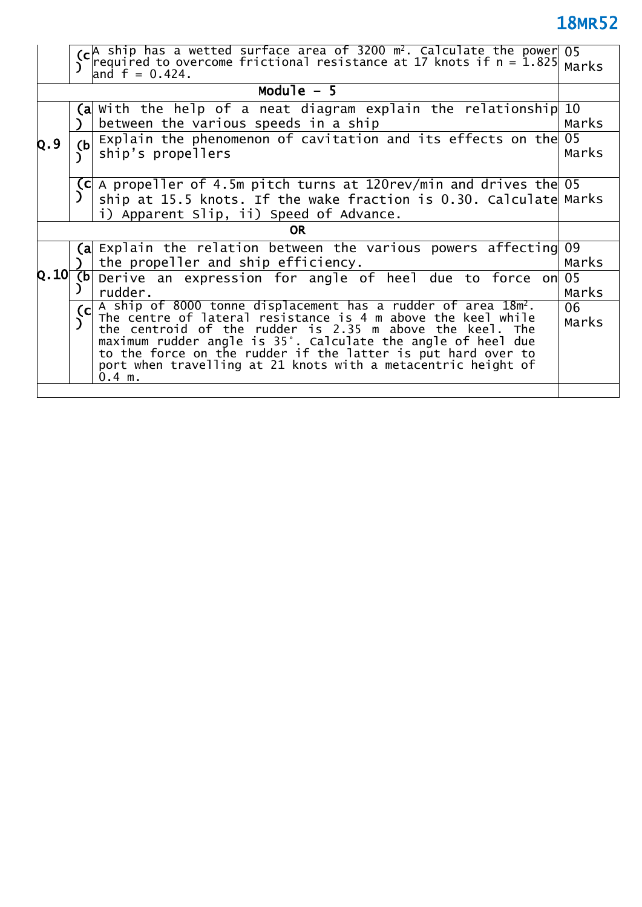**(c )** A ship has a wetted surface area of 3200  $\mathsf{m}^2$ . Calculate the power $\mid$ required to overcome frictional resistance at 17 knots if n = 1.825 and  $f = 0.424$ . 05 Marks

|           |                                                                                         | and $T = 0.424$ .                                                                                                                                                                                                                                                                                                                                                                                                     |             |
|-----------|-----------------------------------------------------------------------------------------|-----------------------------------------------------------------------------------------------------------------------------------------------------------------------------------------------------------------------------------------------------------------------------------------------------------------------------------------------------------------------------------------------------------------------|-------------|
|           |                                                                                         | Module $-5$                                                                                                                                                                                                                                                                                                                                                                                                           |             |
|           |                                                                                         | $\alpha$ with the help of a neat diagram explain the relationship 10<br>between the various speeds in a ship                                                                                                                                                                                                                                                                                                          |             |
| Q.9       | Explain the phenomenon of cavitation and its effects on the<br>(b)<br>ship's propellers |                                                                                                                                                                                                                                                                                                                                                                                                                       |             |
|           |                                                                                         | $ C $ A propeller of 4.5m pitch turns at 120 rev/min and drives the 05<br>ship at 15.5 knots. If the wake fraction is 0.30. Calculate Marks<br>i) Apparent Slip, ii) Speed of Advance.                                                                                                                                                                                                                                |             |
| <b>OR</b> |                                                                                         |                                                                                                                                                                                                                                                                                                                                                                                                                       |             |
|           |                                                                                         | (a Explain the relation between the various powers affecting 09<br>the propeller and ship efficiency.                                                                                                                                                                                                                                                                                                                 | Marks       |
| Q.10      | (b)                                                                                     | Derive an expression for angle of heel due to force on 05<br>rudder.                                                                                                                                                                                                                                                                                                                                                  | Marks       |
|           | C                                                                                       | A ship of 8000 tonne displacement has a rudder of area 18m <sup>2</sup> .<br>The centre of lateral resistance is 4 m above the keel while<br>the centroid of the rudder is 2.35 m above the keel. The<br>maximum rudder angle is 35°. Calculate the angle of heel due<br>to the force on the rudder if the latter is put hard over to<br>port when travelling at 21 knots with a metacentric height of<br>$0.4 \, m.$ | 06<br>Marks |
|           |                                                                                         |                                                                                                                                                                                                                                                                                                                                                                                                                       |             |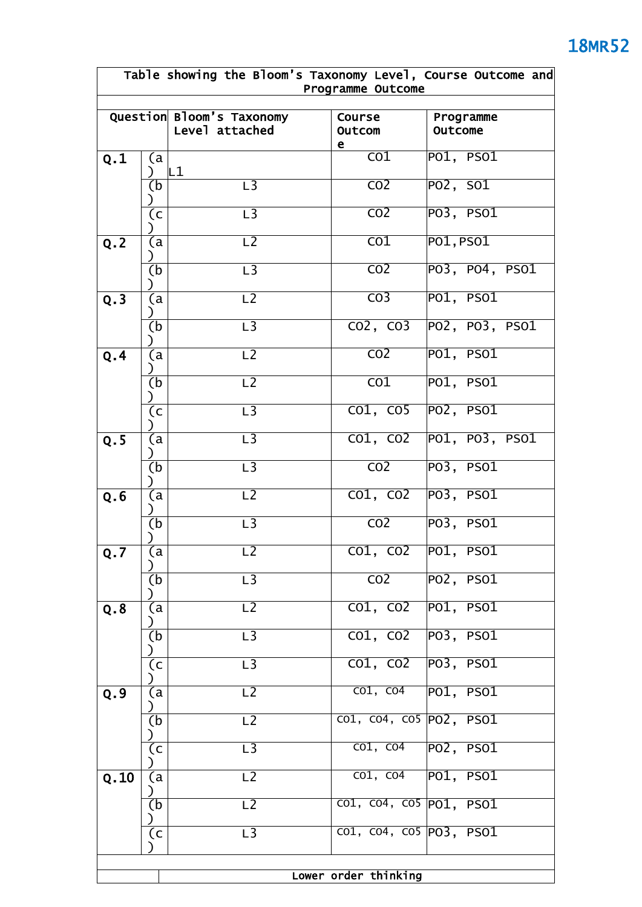### **Table showing the Bloom's Taxonomy Level, Course Outcome and Programme Outcome Question Bloom's Taxonomy Level attached Course Outcom e Programme Outcome** (a ) L1 CO1 PO1, PSO1 (b ) L3 CO2 PO2, SO1 **Q.1**  $\overline{c}$ ) L3 CO2 PO3, PSO1  $\overline{a}$ ) **Q.2** L2 CO1 PO1,PSO1 (b  $\lambda$ L3 CO2 PO3, PO4, PSO1 (a  $\lambda$ **Q.3** L2 CO3 PO1, PSO1 (b ) L3 CO2, CO3 PO2, PO3, PSO1 (a  $\lambda$ L2 CO2 PO1, PSO1 (b ) L2 CO1 PO1, PSO1 **Q.4**  $\overline{c}$ ) L3 CO1, CO5 PO2, PSO1 (a ) **Q.5** (a L3 CO1, CO2 PO1, PO3, PSO1 (b  $\lambda$ L3 CO2 PO3, PSO1 (a ) **Q.6** (a L2 CO1, CO2 PO3, PSO1 (b ) L3 CO2 PO3, PSO1 (a ) **Q.7** (a L2 CO1, CO2 PO1, PSO1 (b ) L3 CO2 PO2, PSO1 (a  $\lambda$ L2 CO1, CO2 PO1, PSO1 (b ) L3 CO1, CO2 PO3, PSO1 **Q.8**  $(c)$ ) L3 CO1, CO2 PO3, PSO1 (a ) L2 CO1, CO4 PO1, PSO1 (b ) L2 CO1, CO4, CO5 PO2, PSO1 **Q.9**  $\overline{c}$ ) L3 co1, co4 PO2, PSO1 (a ) L2 **CO1, CO4 PO1, PSO1** (b ) L2 CO1, CO4, CO5 PO1, PSO1 **Q.10**  $\overline{c}$ ) L3 CO1, CO4, CO5 PO3, PSO1

**Lower order thinking**